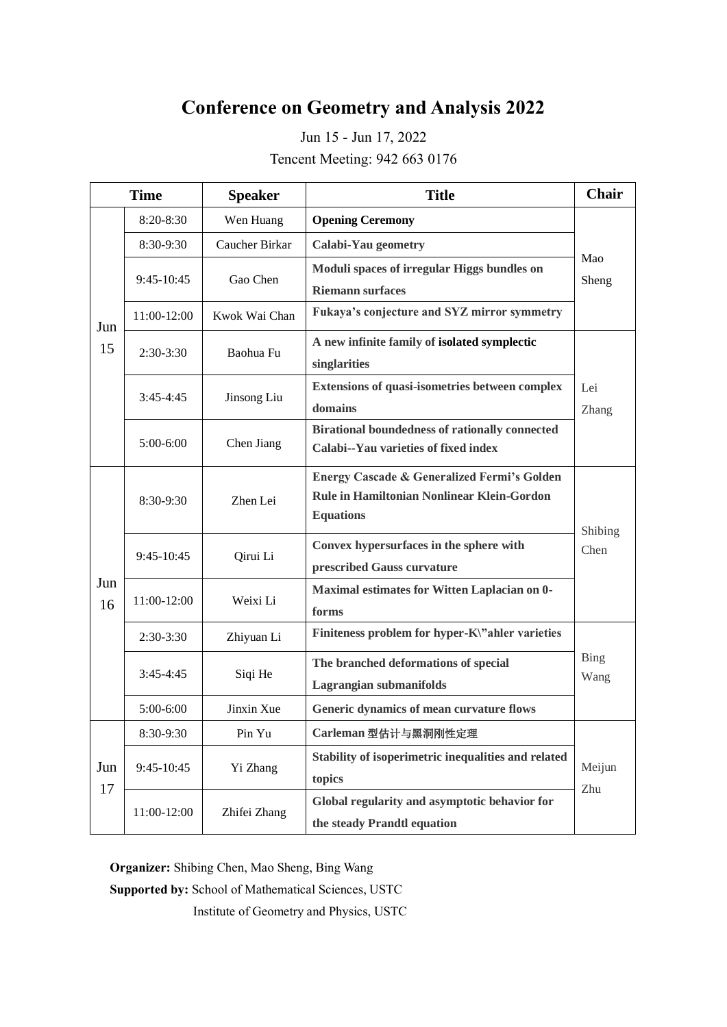# **Conference on Geometry and Analysis 2022**

Jun 15 - Jun 17, 2022 Tencent Meeting: 942 663 0176

| <b>Time</b> |              | <b>Speaker</b> | <b>Title</b>                                           | <b>Chair</b> |
|-------------|--------------|----------------|--------------------------------------------------------|--------------|
| Jun<br>15   | $8:20-8:30$  | Wen Huang      | <b>Opening Ceremony</b>                                | Mao<br>Sheng |
|             | 8:30-9:30    | Caucher Birkar | <b>Calabi-Yau geometry</b>                             |              |
|             | $9:45-10:45$ | Gao Chen       | Moduli spaces of irregular Higgs bundles on            |              |
|             |              |                | <b>Riemann</b> surfaces                                |              |
|             | 11:00-12:00  | Kwok Wai Chan  | Fukaya's conjecture and SYZ mirror symmetry            |              |
|             | $2:30-3:30$  | Baohua Fu      | A new infinite family of isolated symplectic           |              |
|             |              |                | singlarities                                           |              |
|             | $3:45-4:45$  | Jinsong Liu    | Extensions of quasi-isometries between complex         | Lei          |
|             |              |                | domains                                                | Zhang        |
|             | $5:00-6:00$  | Chen Jiang     | <b>Birational boundedness of rationally connected</b>  |              |
|             |              |                | Calabi--Yau varieties of fixed index                   |              |
| Jun<br>16   |              |                | <b>Energy Cascade &amp; Generalized Fermi's Golden</b> |              |
|             | 8:30-9:30    | Zhen Lei       | Rule in Hamiltonian Nonlinear Klein-Gordon             |              |
|             |              |                | <b>Equations</b>                                       | Shibing      |
|             | $9:45-10:45$ | Qirui Li       | Convex hypersurfaces in the sphere with                | Chen         |
|             |              |                | prescribed Gauss curvature                             |              |
|             | 11:00-12:00  | Weixi Li       | Maximal estimates for Witten Laplacian on 0-           |              |
|             |              |                | forms                                                  |              |
|             | $2:30-3:30$  | Zhiyuan Li     | Finiteness problem for hyper-K\"ahler varieties        |              |
|             | $3:45-4:45$  | Siqi He        | The branched deformations of special                   | <b>Bing</b>  |
|             |              |                | Lagrangian submanifolds                                | Wang         |
|             | 5:00-6:00    | Jinxin Xue     | Generic dynamics of mean curvature flows               |              |
| Jun<br>17   | 8:30-9:30    | Pin Yu         | Carleman 型估计与黑洞刚性定理                                    |              |
|             | $9:45-10:45$ | Yi Zhang       | Stability of isoperimetric inequalities and related    | Meijun       |
|             |              |                | topics                                                 | Zhu          |
|             | 11:00-12:00  | Zhifei Zhang   | Global regularity and asymptotic behavior for          |              |
|             |              |                | the steady Prandtl equation                            |              |

**Organizer:** Shibing Chen, Mao Sheng, Bing Wang

**Supported by:** School of Mathematical Sciences, USTC

Institute of Geometry and Physics, USTC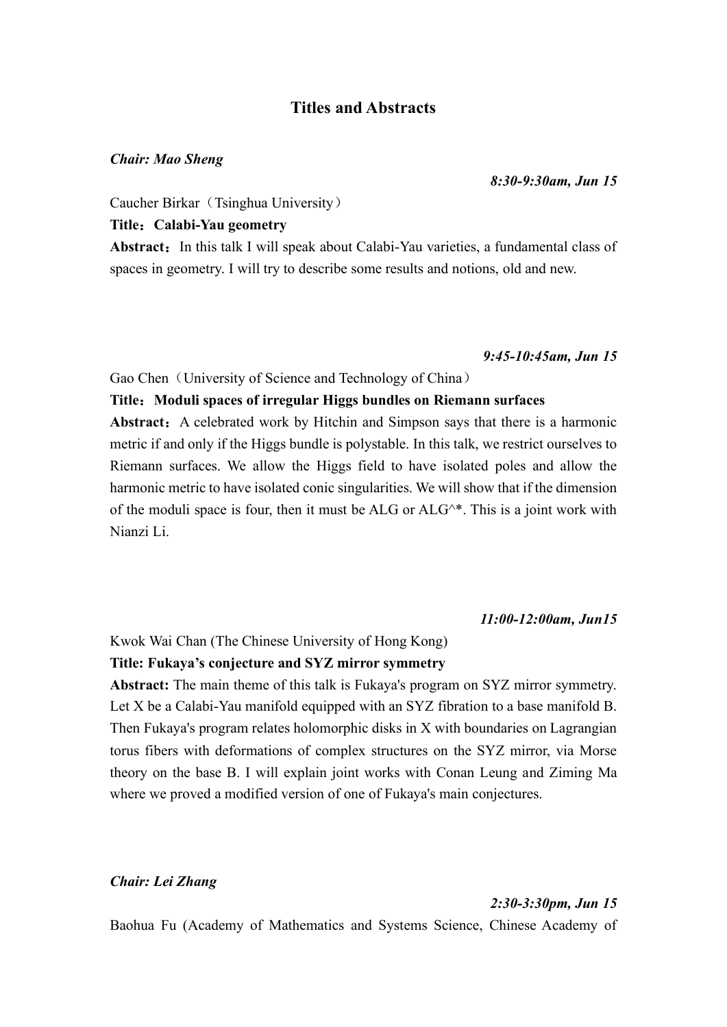# **Titles and Abstracts**

#### *Chair: Mao Sheng*

#### *8:30-9:30am, Jun 15*

Caucher Birkar (Tsinghua University)

## **Title**:**Calabi-Yau geometry**

Abstract: In this talk I will speak about Calabi-Yau varieties, a fundamental class of spaces in geometry. I will try to describe some results and notions, old and new.

#### *9:45-10:45am, Jun 15*

## Gao Chen (University of Science and Technology of China)

#### **Title**:**Moduli spaces of irregular Higgs bundles on Riemann surfaces**

Abstract: A celebrated work by Hitchin and Simpson says that there is a harmonic metric if and only if the Higgs bundle is polystable. In this talk, we restrict ourselves to Riemann surfaces. We allow the Higgs field to have isolated poles and allow the harmonic metric to have isolated conic singularities. We will show that if the dimension of the moduli space is four, then it must be ALG or  $ALG^*$ . This is a joint work with Nianzi Li.

#### *11:00-12:00am, Jun15*

#### Kwok Wai Chan (The Chinese University of Hong Kong)

#### **Title: Fukaya's conjecture and SYZ mirror symmetry**

**Abstract:** The main theme of this talk is Fukaya's program on SYZ mirror symmetry. Let X be a Calabi-Yau manifold equipped with an SYZ fibration to a base manifold B. Then Fukaya's program relates holomorphic disks in X with boundaries on Lagrangian torus fibers with deformations of complex structures on the SYZ mirror, via Morse theory on the base B. I will explain joint works with Conan Leung and Ziming Ma where we proved a modified version of one of Fukaya's main conjectures.

#### *Chair: Lei Zhang*

#### *2:30-3:30pm, Jun 15*

Baohua Fu (Academy of Mathematics and Systems Science, Chinese Academy of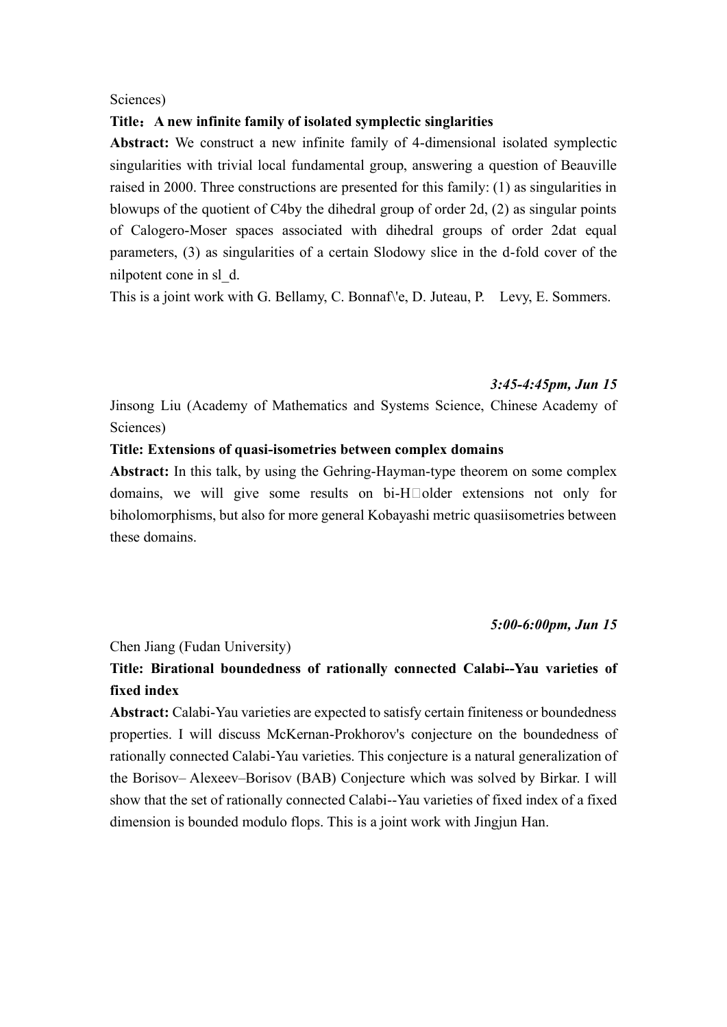#### Sciences)

#### **Title**:**A new infinite family of isolated symplectic singlarities**

**Abstract:** We construct a new infinite family of 4-dimensional isolated symplectic singularities with trivial local fundamental group, answering a question of Beauville raised in 2000. Three constructions are presented for this family: (1) as singularities in blowups of the quotient of C4by the dihedral group of order 2d, (2) as singular points of Calogero-Moser spaces associated with dihedral groups of order 2dat equal parameters, (3) as singularities of a certain Slodowy slice in the d-fold cover of the nilpotent cone in sl\_d.

This is a joint work with G. Bellamy, C. Bonnaf\'e, D. Juteau, P. Levy, E. Sommers.

#### *3:45-4:45pm, Jun 15*

Jinsong Liu (Academy of Mathematics and Systems Science, Chinese Academy of Sciences)

# **Title: Extensions of quasi-isometries between complex domains**

**Abstract:** In this talk, by using the Gehring-Hayman-type theorem on some complex domains, we will give some results on  $bi-H\square$ older extensions not only for biholomorphisms, but also for more general Kobayashi metric quasiisometries between these domains.

#### *5:00-6:00pm, Jun 15*

#### Chen Jiang (Fudan University)

# **Title: Birational boundedness of rationally connected Calabi--Yau varieties of fixed index**

**Abstract:** Calabi-Yau varieties are expected to satisfy certain finiteness or boundedness properties. I will discuss McKernan-Prokhorov's conjecture on the boundedness of rationally connected Calabi-Yau varieties. This conjecture is a natural generalization of the Borisov– Alexeev–Borisov (BAB) Conjecture which was solved by Birkar. I will show that the set of rationally connected Calabi--Yau varieties of fixed index of a fixed dimension is bounded modulo flops. This is a joint work with Jingjun Han.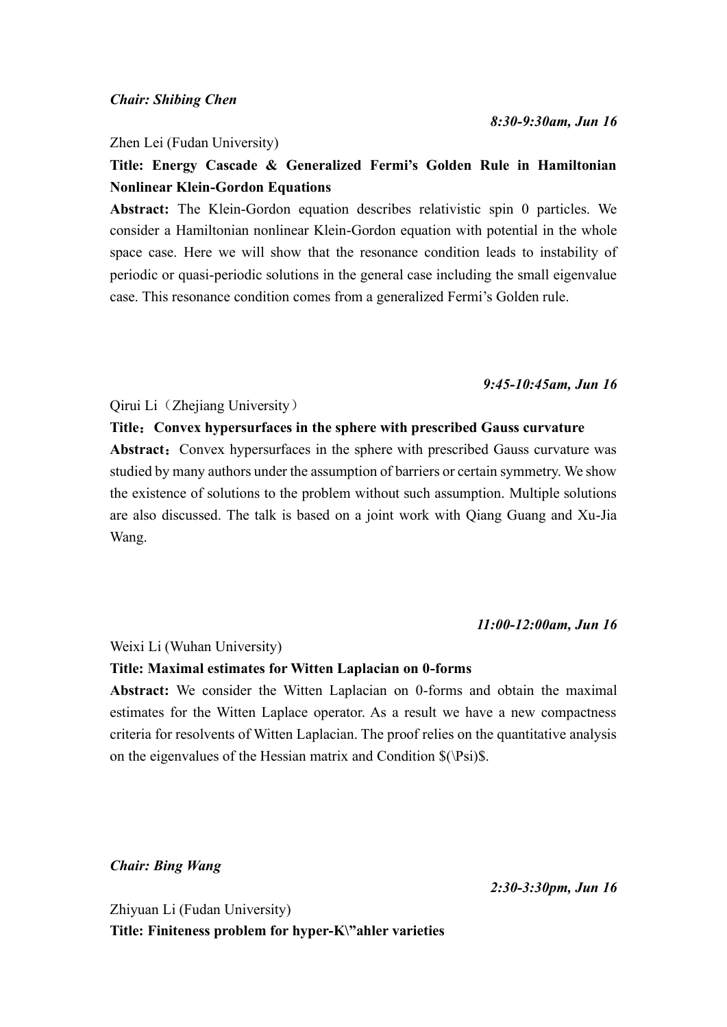Zhen Lei (Fudan University)

# **Title: Energy Cascade & Generalized Fermi's Golden Rule in Hamiltonian Nonlinear Klein-Gordon Equations**

**Abstract:** The Klein-Gordon equation describes relativistic spin 0 particles. We consider a Hamiltonian nonlinear Klein-Gordon equation with potential in the whole space case. Here we will show that the resonance condition leads to instability of periodic or quasi-periodic solutions in the general case including the small eigenvalue case. This resonance condition comes from a generalized Fermi's Golden rule.

*9:45-10:45am, Jun 16*

Qirui Li (Zhejiang University)

### **Title**:**Convex hypersurfaces in the sphere with prescribed Gauss curvature**

Abstract: Convex hypersurfaces in the sphere with prescribed Gauss curvature was studied by many authors under the assumption of barriers or certain symmetry. We show the existence of solutions to the problem without such assumption. Multiple solutions are also discussed. The talk is based on a joint work with Qiang Guang and Xu-Jia Wang.

#### *11:00-12:00am, Jun 16*

Weixi Li (Wuhan University)

#### **Title: Maximal estimates for Witten Laplacian on 0-forms**

**Abstract:** We consider the Witten Laplacian on 0-forms and obtain the maximal estimates for the Witten Laplace operator. As a result we have a new compactness criteria for resolvents of Witten Laplacian. The proof relies on the quantitative analysis on the eigenvalues of the Hessian matrix and Condition \$(\Psi)\$.

*Chair: Bing Wang*

*2:30-3:30pm, Jun 16*

Zhiyuan Li (Fudan University) **Title: Finiteness problem for hyper-K\"ahler varieties**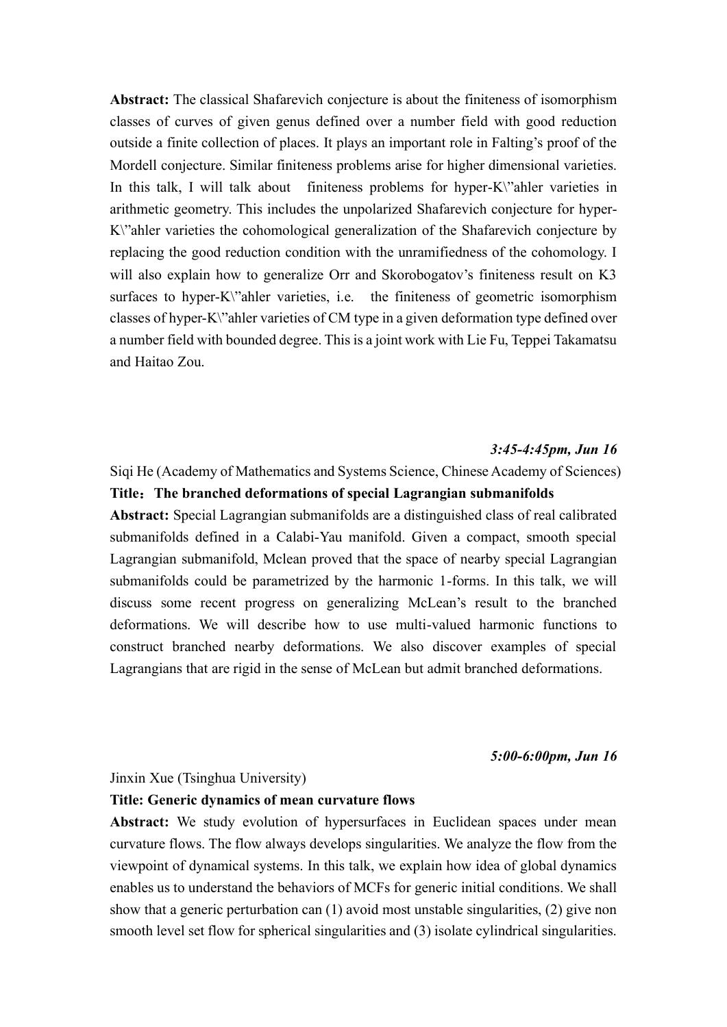**Abstract:** The classical Shafarevich conjecture is about the finiteness of isomorphism classes of curves of given genus defined over a number field with good reduction outside a finite collection of places. It plays an important role in Falting's proof of the Mordell conjecture. Similar finiteness problems arise for higher dimensional varieties. In this talk, I will talk about finiteness problems for hyper-K\"ahler varieties in arithmetic geometry. This includes the unpolarized Shafarevich conjecture for hyper-K\"ahler varieties the cohomological generalization of the Shafarevich conjecture by replacing the good reduction condition with the unramifiedness of the cohomology. I will also explain how to generalize Orr and Skorobogatov's finiteness result on K3 surfaces to hyper-K\"ahler varieties, i.e. the finiteness of geometric isomorphism classes of hyper-K\"ahler varieties of CM type in a given deformation type defined over a number field with bounded degree. This is a joint work with Lie Fu, Teppei Takamatsu and Haitao Zou.

#### *3:45-4:45pm, Jun 16*

Siqi He (Academy of Mathematics and Systems Science, Chinese Academy of Sciences) **Title**:**The branched deformations of special Lagrangian submanifolds Abstract:** Special Lagrangian submanifolds are a distinguished class of real calibrated submanifolds defined in a Calabi-Yau manifold. Given a compact, smooth special Lagrangian submanifold, Mclean proved that the space of nearby special Lagrangian submanifolds could be parametrized by the harmonic 1-forms. In this talk, we will discuss some recent progress on generalizing McLean's result to the branched deformations. We will describe how to use multi-valued harmonic functions to construct branched nearby deformations. We also discover examples of special Lagrangians that are rigid in the sense of McLean but admit branched deformations.

*5:00-6:00pm, Jun 16*

#### Jinxin Xue (Tsinghua University)

#### **Title: Generic dynamics of mean curvature flows**

**Abstract:** We study evolution of hypersurfaces in Euclidean spaces under mean curvature flows. The flow always develops singularities. We analyze the flow from the viewpoint of dynamical systems. In this talk, we explain how idea of global dynamics enables us to understand the behaviors of MCFs for generic initial conditions. We shall show that a generic perturbation can (1) avoid most unstable singularities, (2) give non smooth level set flow for spherical singularities and (3) isolate cylindrical singularities.